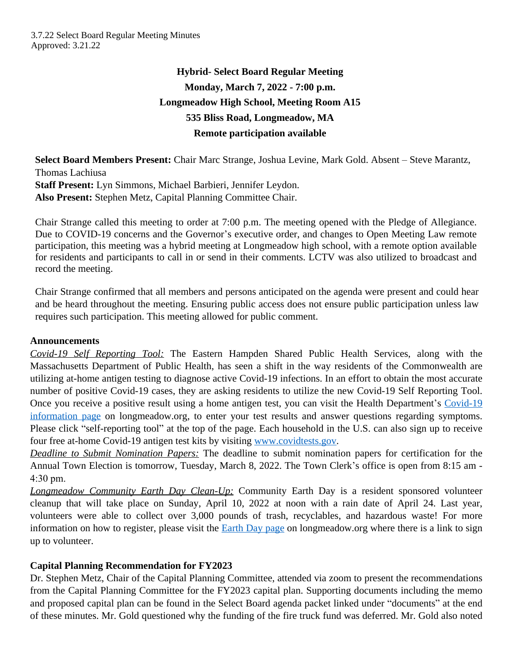# **Hybrid- Select Board Regular Meeting Monday, March 7, 2022 - 7:00 p.m. Longmeadow High School, Meeting Room A15 535 Bliss Road, Longmeadow, MA Remote participation available**

**Select Board Members Present:** Chair Marc Strange, Joshua Levine, Mark Gold. Absent – Steve Marantz, Thomas Lachiusa **Staff Present:** Lyn Simmons, Michael Barbieri, Jennifer Leydon. **Also Present:** Stephen Metz, Capital Planning Committee Chair.

Chair Strange called this meeting to order at 7:00 p.m. The meeting opened with the Pledge of Allegiance. Due to COVID-19 concerns and the Governor's executive order, and changes to Open Meeting Law remote participation, this meeting was a hybrid meeting at Longmeadow high school, with a remote option available for residents and participants to call in or send in their comments. LCTV was also utilized to broadcast and record the meeting.

Chair Strange confirmed that all members and persons anticipated on the agenda were present and could hear and be heard throughout the meeting. Ensuring public access does not ensure public participation unless law requires such participation. This meeting allowed for public comment.

# **Announcements**

*Covid-19 Self Reporting Tool:* The Eastern Hampden Shared Public Health Services, along with the Massachusetts Department of Public Health, has seen a shift in the way residents of the Commonwealth are utilizing at-home antigen testing to diagnose active Covid-19 infections. In an effort to obtain the most accurate number of positive Covid-19 cases, they are asking residents to utilize the new Covid-19 Self Reporting Tool. Once you receive a positive result using a home antigen test, you can visit the Health Department's [Covid-19](https://www.longmeadow.org/1181/COVID-19-Coronavirus-Information) information page on longmeadow.org, to enter your test results and answer questions regarding symptoms. Please click "self-reporting tool" at the top of the page. Each household in the U.S. can also sign up to receive four free at-home Covid-19 antigen test kits by visiting [www.covidtests.gov.](https://www.covidtests.gov/)

*Deadline to Submit Nomination Papers:* The deadline to submit nomination papers for certification for the Annual Town Election is tomorrow, Tuesday, March 8, 2022. The Town Clerk's office is open from 8:15 am - 4:30 pm.

*Longmeadow Community Earth Day Clean-Up:* Community Earth Day is a resident sponsored volunteer cleanup that will take place on Sunday, April 10, 2022 at noon with a rain date of April 24. Last year, volunteers were able to collect over 3,000 pounds of trash, recyclables, and hazardous waste! For more information on how to register, please visit the **[Earth Day page](https://www.longmeadow.org/1241/Earth-Day)** on longmeadow.org where there is a link to sign up to volunteer.

# **Capital Planning Recommendation for FY2023**

Dr. Stephen Metz, Chair of the Capital Planning Committee, attended via zoom to present the recommendations from the Capital Planning Committee for the FY2023 capital plan. Supporting documents including the memo and proposed capital plan can be found in the Select Board agenda packet linked under "documents" at the end of these minutes. Mr. Gold questioned why the funding of the fire truck fund was deferred. Mr. Gold also noted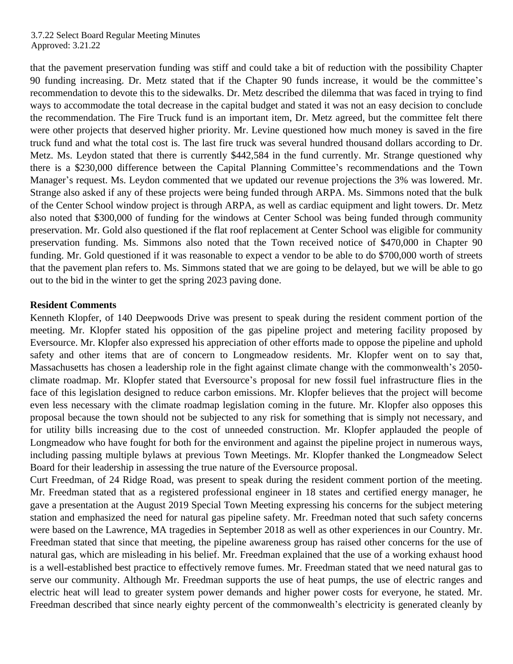that the pavement preservation funding was stiff and could take a bit of reduction with the possibility Chapter 90 funding increasing. Dr. Metz stated that if the Chapter 90 funds increase, it would be the committee's recommendation to devote this to the sidewalks. Dr. Metz described the dilemma that was faced in trying to find ways to accommodate the total decrease in the capital budget and stated it was not an easy decision to conclude the recommendation. The Fire Truck fund is an important item, Dr. Metz agreed, but the committee felt there were other projects that deserved higher priority. Mr. Levine questioned how much money is saved in the fire truck fund and what the total cost is. The last fire truck was several hundred thousand dollars according to Dr. Metz. Ms. Leydon stated that there is currently \$442,584 in the fund currently. Mr. Strange questioned why there is a \$230,000 difference between the Capital Planning Committee's recommendations and the Town Manager's request. Ms. Leydon commented that we updated our revenue projections the 3% was lowered. Mr. Strange also asked if any of these projects were being funded through ARPA. Ms. Simmons noted that the bulk of the Center School window project is through ARPA, as well as cardiac equipment and light towers. Dr. Metz also noted that \$300,000 of funding for the windows at Center School was being funded through community preservation. Mr. Gold also questioned if the flat roof replacement at Center School was eligible for community preservation funding. Ms. Simmons also noted that the Town received notice of \$470,000 in Chapter 90 funding. Mr. Gold questioned if it was reasonable to expect a vendor to be able to do \$700,000 worth of streets that the pavement plan refers to. Ms. Simmons stated that we are going to be delayed, but we will be able to go out to the bid in the winter to get the spring 2023 paving done.

# **Resident Comments**

Kenneth Klopfer, of 140 Deepwoods Drive was present to speak during the resident comment portion of the meeting. Mr. Klopfer stated his opposition of the gas pipeline project and metering facility proposed by Eversource. Mr. Klopfer also expressed his appreciation of other efforts made to oppose the pipeline and uphold safety and other items that are of concern to Longmeadow residents. Mr. Klopfer went on to say that, Massachusetts has chosen a leadership role in the fight against climate change with the commonwealth's 2050 climate roadmap. Mr. Klopfer stated that Eversource's proposal for new fossil fuel infrastructure flies in the face of this legislation designed to reduce carbon emissions. Mr. Klopfer believes that the project will become even less necessary with the climate roadmap legislation coming in the future. Mr. Klopfer also opposes this proposal because the town should not be subjected to any risk for something that is simply not necessary, and for utility bills increasing due to the cost of unneeded construction. Mr. Klopfer applauded the people of Longmeadow who have fought for both for the environment and against the pipeline project in numerous ways, including passing multiple bylaws at previous Town Meetings. Mr. Klopfer thanked the Longmeadow Select Board for their leadership in assessing the true nature of the Eversource proposal.

Curt Freedman, of 24 Ridge Road, was present to speak during the resident comment portion of the meeting. Mr. Freedman stated that as a registered professional engineer in 18 states and certified energy manager, he gave a presentation at the August 2019 Special Town Meeting expressing his concerns for the subject metering station and emphasized the need for natural gas pipeline safety. Mr. Freedman noted that such safety concerns were based on the Lawrence, MA tragedies in September 2018 as well as other experiences in our Country. Mr. Freedman stated that since that meeting, the pipeline awareness group has raised other concerns for the use of natural gas, which are misleading in his belief. Mr. Freedman explained that the use of a working exhaust hood is a well-established best practice to effectively remove fumes. Mr. Freedman stated that we need natural gas to serve our community. Although Mr. Freedman supports the use of heat pumps, the use of electric ranges and electric heat will lead to greater system power demands and higher power costs for everyone, he stated. Mr. Freedman described that since nearly eighty percent of the commonwealth's electricity is generated cleanly by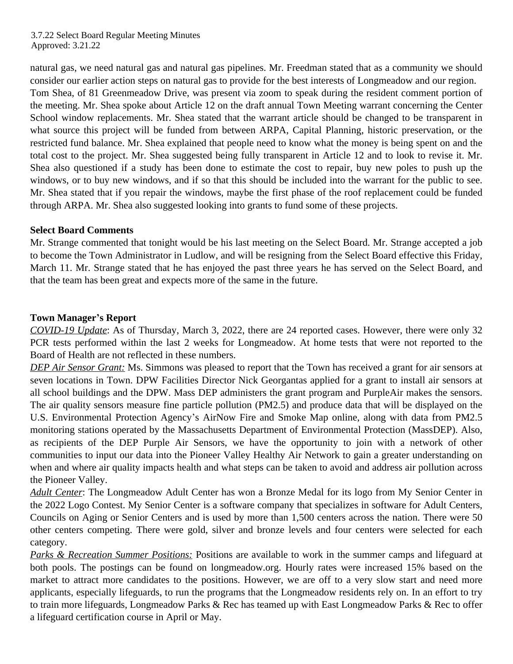natural gas, we need natural gas and natural gas pipelines. Mr. Freedman stated that as a community we should consider our earlier action steps on natural gas to provide for the best interests of Longmeadow and our region. Tom Shea, of 81 Greenmeadow Drive, was present via zoom to speak during the resident comment portion of the meeting. Mr. Shea spoke about Article 12 on the draft annual Town Meeting warrant concerning the Center School window replacements. Mr. Shea stated that the warrant article should be changed to be transparent in what source this project will be funded from between ARPA, Capital Planning, historic preservation, or the restricted fund balance. Mr. Shea explained that people need to know what the money is being spent on and the total cost to the project. Mr. Shea suggested being fully transparent in Article 12 and to look to revise it. Mr. Shea also questioned if a study has been done to estimate the cost to repair, buy new poles to push up the windows, or to buy new windows, and if so that this should be included into the warrant for the public to see. Mr. Shea stated that if you repair the windows, maybe the first phase of the roof replacement could be funded through ARPA. Mr. Shea also suggested looking into grants to fund some of these projects.

# **Select Board Comments**

Mr. Strange commented that tonight would be his last meeting on the Select Board. Mr. Strange accepted a job to become the Town Administrator in Ludlow, and will be resigning from the Select Board effective this Friday, March 11. Mr. Strange stated that he has enjoyed the past three years he has served on the Select Board, and that the team has been great and expects more of the same in the future.

# **Town Manager's Report**

*COVID-19 Update*: As of Thursday, March 3, 2022, there are 24 reported cases. However, there were only 32 PCR tests performed within the last 2 weeks for Longmeadow. At home tests that were not reported to the Board of Health are not reflected in these numbers.

*DEP Air Sensor Grant:* Ms. Simmons was pleased to report that the Town has received a grant for air sensors at seven locations in Town. DPW Facilities Director Nick Georgantas applied for a grant to install air sensors at all school buildings and the DPW. Mass DEP administers the grant program and PurpleAir makes the sensors. The air quality sensors measure fine particle pollution (PM2.5) and produce data that will be displayed on the U.S. Environmental Protection Agency's AirNow Fire and Smoke Map online, along with data from PM2.5 monitoring stations operated by the Massachusetts Department of Environmental Protection (MassDEP). Also, as recipients of the DEP Purple Air Sensors, we have the opportunity to join with a network of other communities to input our data into the Pioneer Valley Healthy Air Network to gain a greater understanding on when and where air quality impacts health and what steps can be taken to avoid and address air pollution across the Pioneer Valley.

*Adult Center*: The Longmeadow Adult Center has won a Bronze Medal for its logo from My Senior Center in the 2022 Logo Contest. My Senior Center is a software company that specializes in software for Adult Centers, Councils on Aging or Senior Centers and is used by more than 1,500 centers across the nation. There were 50 other centers competing. There were gold, silver and bronze levels and four centers were selected for each category.

*Parks & Recreation Summer Positions:* Positions are available to work in the summer camps and lifeguard at both pools. The postings can be found on longmeadow.org. Hourly rates were increased 15% based on the market to attract more candidates to the positions. However, we are off to a very slow start and need more applicants, especially lifeguards, to run the programs that the Longmeadow residents rely on. In an effort to try to train more lifeguards, Longmeadow Parks & Rec has teamed up with East Longmeadow Parks & Rec to offer a lifeguard certification course in April or May.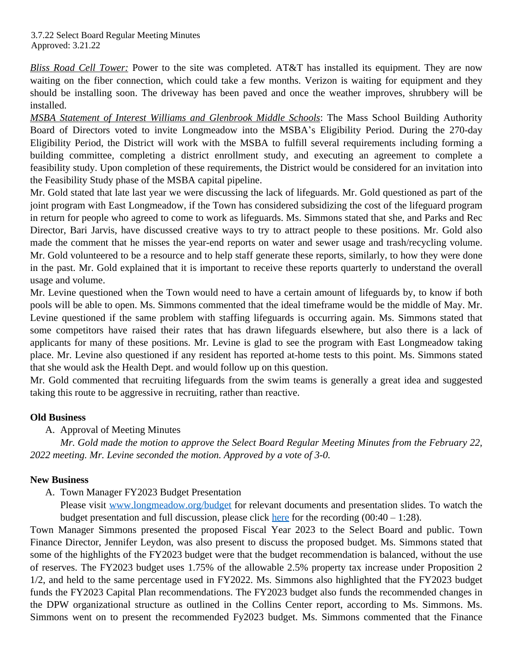*Bliss Road Cell Tower:* Power to the site was completed. AT&T has installed its equipment. They are now waiting on the fiber connection, which could take a few months. Verizon is waiting for equipment and they should be installing soon. The driveway has been paved and once the weather improves, shrubbery will be installed.

*MSBA Statement of Interest Williams and Glenbrook Middle Schools*: The Mass School Building Authority Board of Directors voted to invite Longmeadow into the MSBA's Eligibility Period. During the 270-day Eligibility Period, the District will work with the MSBA to fulfill several requirements including forming a building committee, completing a district enrollment study, and executing an agreement to complete a feasibility study. Upon completion of these requirements, the District would be considered for an invitation into the Feasibility Study phase of the MSBA capital pipeline.

Mr. Gold stated that late last year we were discussing the lack of lifeguards. Mr. Gold questioned as part of the joint program with East Longmeadow, if the Town has considered subsidizing the cost of the lifeguard program in return for people who agreed to come to work as lifeguards. Ms. Simmons stated that she, and Parks and Rec Director, Bari Jarvis, have discussed creative ways to try to attract people to these positions. Mr. Gold also made the comment that he misses the year-end reports on water and sewer usage and trash/recycling volume. Mr. Gold volunteered to be a resource and to help staff generate these reports, similarly, to how they were done in the past. Mr. Gold explained that it is important to receive these reports quarterly to understand the overall usage and volume.

Mr. Levine questioned when the Town would need to have a certain amount of lifeguards by, to know if both pools will be able to open. Ms. Simmons commented that the ideal timeframe would be the middle of May. Mr. Levine questioned if the same problem with staffing lifeguards is occurring again. Ms. Simmons stated that some competitors have raised their rates that has drawn lifeguards elsewhere, but also there is a lack of applicants for many of these positions. Mr. Levine is glad to see the program with East Longmeadow taking place. Mr. Levine also questioned if any resident has reported at-home tests to this point. Ms. Simmons stated that she would ask the Health Dept. and would follow up on this question.

Mr. Gold commented that recruiting lifeguards from the swim teams is generally a great idea and suggested taking this route to be aggressive in recruiting, rather than reactive.

# **Old Business**

A. Approval of Meeting Minutes

*Mr. Gold made the motion to approve the Select Board Regular Meeting Minutes from the February 22, 2022 meeting. Mr. Levine seconded the motion. Approved by a vote of 3-0.*

# **New Business**

A. Town Manager FY2023 Budget Presentation

Please visit [www.longmeadow.org/budget](http://www.longmeadow.org/budget) for relevant documents and presentation slides. To watch the budget presentation and full discussion, please click [here](https://www.youtube.com/watch?v=x-pns7UOIiY&list=PLDEmFQOMKpX7DAn_FmzNHMqZig_vNfa1Q) for the recording  $(00:40 - 1:28)$ .

Town Manager Simmons presented the proposed Fiscal Year 2023 to the Select Board and public. Town Finance Director, Jennifer Leydon, was also present to discuss the proposed budget. Ms. Simmons stated that some of the highlights of the FY2023 budget were that the budget recommendation is balanced, without the use of reserves. The FY2023 budget uses 1.75% of the allowable 2.5% property tax increase under Proposition 2 1/2, and held to the same percentage used in FY2022. Ms. Simmons also highlighted that the FY2023 budget funds the FY2023 Capital Plan recommendations. The FY2023 budget also funds the recommended changes in the DPW organizational structure as outlined in the Collins Center report, according to Ms. Simmons. Ms. Simmons went on to present the recommended Fy2023 budget. Ms. Simmons commented that the Finance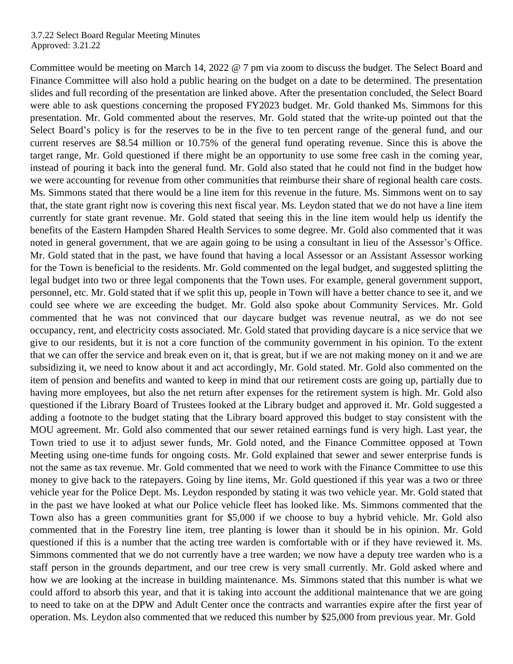Committee would be meeting on March 14, 2022 @ 7 pm via zoom to discuss the budget. The Select Board and Finance Committee will also hold a public hearing on the budget on a date to be determined. The presentation slides and full recording of the presentation are linked above. After the presentation concluded, the Select Board were able to ask questions concerning the proposed FY2023 budget. Mr. Gold thanked Ms. Simmons for this presentation. Mr. Gold commented about the reserves. Mr. Gold stated that the write-up pointed out that the Select Board's policy is for the reserves to be in the five to ten percent range of the general fund, and our current reserves are \$8.54 million or 10.75% of the general fund operating revenue. Since this is above the target range, Mr. Gold questioned if there might be an opportunity to use some free cash in the coming year, instead of pouring it back into the general fund. Mr. Gold also stated that he could not find in the budget how we were accounting for revenue from other communities that reimburse their share of regional health care costs. Ms. Simmons stated that there would be a line item for this revenue in the future. Ms. Simmons went on to say that, the state grant right now is covering this next fiscal year. Ms. Leydon stated that we do not have a line item currently for state grant revenue. Mr. Gold stated that seeing this in the line item would help us identify the benefits of the Eastern Hampden Shared Health Services to some degree. Mr. Gold also commented that it was noted in general government, that we are again going to be using a consultant in lieu of the Assessor's Office. Mr. Gold stated that in the past, we have found that having a local Assessor or an Assistant Assessor working for the Town is beneficial to the residents. Mr. Gold commented on the legal budget, and suggested splitting the legal budget into two or three legal components that the Town uses. For example, general government support, personnel, etc. Mr. Gold stated that if we split this up, people in Town will have a better chance to see it, and we could see where we are exceeding the budget. Mr. Gold also spoke about Community Services. Mr. Gold commented that he was not convinced that our daycare budget was revenue neutral, as we do not see occupancy, rent, and electricity costs associated. Mr. Gold stated that providing daycare is a nice service that we give to our residents, but it is not a core function of the community government in his opinion. To the extent that we can offer the service and break even on it, that is great, but if we are not making money on it and we are subsidizing it, we need to know about it and act accordingly, Mr. Gold stated. Mr. Gold also commented on the item of pension and benefits and wanted to keep in mind that our retirement costs are going up, partially due to having more employees, but also the net return after expenses for the retirement system is high. Mr. Gold also questioned if the Library Board of Trustees looked at the Library budget and approved it. Mr. Gold suggested a adding a footnote to the budget stating that the Library board approved this budget to stay consistent with the MOU agreement. Mr. Gold also commented that our sewer retained earnings fund is very high. Last year, the Town tried to use it to adjust sewer funds, Mr. Gold noted, and the Finance Committee opposed at Town Meeting using one-time funds for ongoing costs. Mr. Gold explained that sewer and sewer enterprise funds is not the same as tax revenue. Mr. Gold commented that we need to work with the Finance Committee to use this money to give back to the ratepayers. Going by line items, Mr. Gold questioned if this year was a two or three vehicle year for the Police Dept. Ms. Leydon responded by stating it was two vehicle year. Mr. Gold stated that in the past we have looked at what our Police vehicle fleet has looked like. Ms. Simmons commented that the Town also has a green communities grant for \$5,000 if we choose to buy a hybrid vehicle. Mr. Gold also commented that in the Forestry line item, tree planting is lower than it should be in his opinion. Mr. Gold questioned if this is a number that the acting tree warden is comfortable with or if they have reviewed it. Ms. Simmons commented that we do not currently have a tree warden; we now have a deputy tree warden who is a staff person in the grounds department, and our tree crew is very small currently. Mr. Gold asked where and how we are looking at the increase in building maintenance. Ms. Simmons stated that this number is what we could afford to absorb this year, and that it is taking into account the additional maintenance that we are going to need to take on at the DPW and Adult Center once the contracts and warranties expire after the first year of operation. Ms. Leydon also commented that we reduced this number by \$25,000 from previous year. Mr. Gold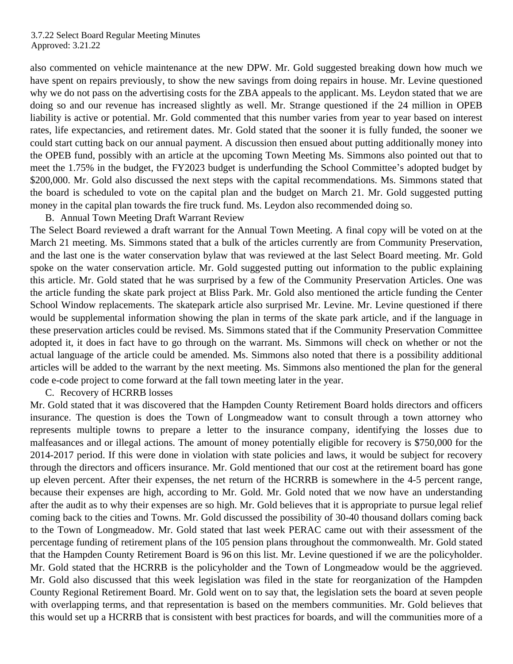also commented on vehicle maintenance at the new DPW. Mr. Gold suggested breaking down how much we have spent on repairs previously, to show the new savings from doing repairs in house. Mr. Levine questioned why we do not pass on the advertising costs for the ZBA appeals to the applicant. Ms. Leydon stated that we are doing so and our revenue has increased slightly as well. Mr. Strange questioned if the 24 million in OPEB liability is active or potential. Mr. Gold commented that this number varies from year to year based on interest rates, life expectancies, and retirement dates. Mr. Gold stated that the sooner it is fully funded, the sooner we could start cutting back on our annual payment. A discussion then ensued about putting additionally money into the OPEB fund, possibly with an article at the upcoming Town Meeting Ms. Simmons also pointed out that to meet the 1.75% in the budget, the FY2023 budget is underfunding the School Committee's adopted budget by \$200,000. Mr. Gold also discussed the next steps with the capital recommendations. Ms. Simmons stated that the board is scheduled to vote on the capital plan and the budget on March 21. Mr. Gold suggested putting money in the capital plan towards the fire truck fund. Ms. Leydon also recommended doing so.

B. Annual Town Meeting Draft Warrant Review

The Select Board reviewed a draft warrant for the Annual Town Meeting. A final copy will be voted on at the March 21 meeting. Ms. Simmons stated that a bulk of the articles currently are from Community Preservation, and the last one is the water conservation bylaw that was reviewed at the last Select Board meeting. Mr. Gold spoke on the water conservation article. Mr. Gold suggested putting out information to the public explaining this article. Mr. Gold stated that he was surprised by a few of the Community Preservation Articles. One was the article funding the skate park project at Bliss Park. Mr. Gold also mentioned the article funding the Center School Window replacements. The skatepark article also surprised Mr. Levine. Mr. Levine questioned if there would be supplemental information showing the plan in terms of the skate park article, and if the language in these preservation articles could be revised. Ms. Simmons stated that if the Community Preservation Committee adopted it, it does in fact have to go through on the warrant. Ms. Simmons will check on whether or not the actual language of the article could be amended. Ms. Simmons also noted that there is a possibility additional articles will be added to the warrant by the next meeting. Ms. Simmons also mentioned the plan for the general code e-code project to come forward at the fall town meeting later in the year.

### C. Recovery of HCRRB losses

Mr. Gold stated that it was discovered that the Hampden County Retirement Board holds directors and officers insurance. The question is does the Town of Longmeadow want to consult through a town attorney who represents multiple towns to prepare a letter to the insurance company, identifying the losses due to malfeasances and or illegal actions. The amount of money potentially eligible for recovery is \$750,000 for the 2014-2017 period. If this were done in violation with state policies and laws, it would be subject for recovery through the directors and officers insurance. Mr. Gold mentioned that our cost at the retirement board has gone up eleven percent. After their expenses, the net return of the HCRRB is somewhere in the 4-5 percent range, because their expenses are high, according to Mr. Gold. Mr. Gold noted that we now have an understanding after the audit as to why their expenses are so high. Mr. Gold believes that it is appropriate to pursue legal relief coming back to the cities and Towns. Mr. Gold discussed the possibility of 30-40 thousand dollars coming back to the Town of Longmeadow. Mr. Gold stated that last week PERAC came out with their assessment of the percentage funding of retirement plans of the 105 pension plans throughout the commonwealth. Mr. Gold stated that the Hampden County Retirement Board is 96 on this list. Mr. Levine questioned if we are the policyholder. Mr. Gold stated that the HCRRB is the policyholder and the Town of Longmeadow would be the aggrieved. Mr. Gold also discussed that this week legislation was filed in the state for reorganization of the Hampden County Regional Retirement Board. Mr. Gold went on to say that, the legislation sets the board at seven people with overlapping terms, and that representation is based on the members communities. Mr. Gold believes that this would set up a HCRRB that is consistent with best practices for boards, and will the communities more of a